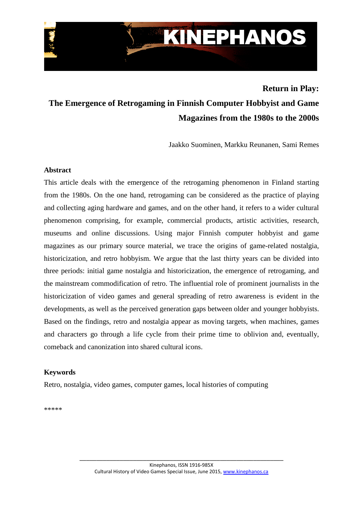

# **Return in Play:**

# **The Emergence of Retrogaming in Finnish Computer Hobbyist and Game Magazines from the 1980s to the 2000s**

Jaakko Suominen, Markku Reunanen, Sami Remes

#### **Abstract**

This article deals with the emergence of the retrogaming phenomenon in Finland starting from the 1980s. On the one hand, retrogaming can be considered as the practice of playing and collecting aging hardware and games, and on the other hand, it refers to a wider cultural phenomenon comprising, for example, commercial products, artistic activities, research, museums and online discussions. Using major Finnish computer hobbyist and game magazines as our primary source material, we trace the origins of game-related nostalgia, historicization, and retro hobbyism. We argue that the last thirty years can be divided into three periods: initial game nostalgia and historicization, the emergence of retrogaming, and the mainstream commodification of retro. The influential role of prominent journalists in the historicization of video games and general spreading of retro awareness is evident in the developments, as well as the perceived generation gaps between older and younger hobbyists. Based on the findings, retro and nostalgia appear as moving targets, when machines, games and characters go through a life cycle from their prime time to oblivion and, eventually, comeback and canonization into shared cultural icons.

#### **Keywords**

Retro, nostalgia, video games, computer games, local histories of computing

\*\*\*\*\*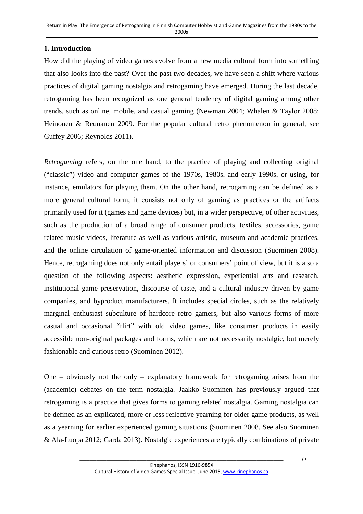# **1. Introduction**

How did the playing of video games evolve from a new media cultural form into something that also looks into the past? Over the past two decades, we have seen a shift where various practices of digital gaming nostalgia and retrogaming have emerged. During the last decade, retrogaming has been recognized as one general tendency of digital gaming among other trends, such as online, mobile, and casual gaming (Newman 2004; Whalen & Taylor 2008; Heinonen & Reunanen 2009. For the popular cultural retro phenomenon in general, see Guffey 2006; Reynolds 2011).

*Retrogaming* refers, on the one hand, to the practice of playing and collecting original ("classic") video and computer games of the 1970s, 1980s, and early 1990s, or using, for instance, emulators for playing them. On the other hand, retrogaming can be defined as a more general cultural form; it consists not only of gaming as practices or the artifacts primarily used for it (games and game devices) but, in a wider perspective, of other activities, such as the production of a broad range of consumer products, textiles, accessories, game related music videos, literature as well as various artistic, museum and academic practices, and the online circulation of game-oriented information and discussion (Suominen 2008). Hence, retrogaming does not only entail players' or consumers' point of view, but it is also a question of the following aspects: aesthetic expression, experiential arts and research, institutional game preservation, discourse of taste, and a cultural industry driven by game companies, and byproduct manufacturers. It includes special circles, such as the relatively marginal enthusiast subculture of hardcore retro gamers, but also various forms of more casual and occasional "flirt" with old video games, like consumer products in easily accessible non-original packages and forms, which are not necessarily nostalgic, but merely fashionable and curious retro (Suominen 2012).

One – obviously not the only – explanatory framework for retrogaming arises from the (academic) debates on the term nostalgia. Jaakko Suominen has previously argued that retrogaming is a practice that gives forms to gaming related nostalgia. Gaming nostalgia can be defined as an explicated, more or less reflective yearning for older game products, as well as a yearning for earlier experienced gaming situations (Suominen 2008. See also Suominen & Ala-Luopa 2012; Garda 2013). Nostalgic experiences are typically combinations of private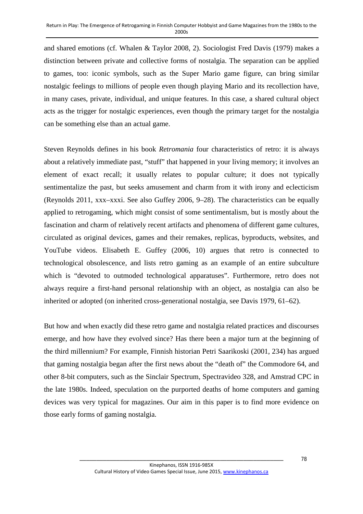and shared emotions (cf. Whalen & Taylor 2008, 2). Sociologist Fred Davis (1979) makes a distinction between private and collective forms of nostalgia. The separation can be applied to games, too: iconic symbols, such as the Super Mario game figure, can bring similar nostalgic feelings to millions of people even though playing Mario and its recollection have, in many cases, private, individual, and unique features. In this case, a shared cultural object acts as the trigger for nostalgic experiences, even though the primary target for the nostalgia can be something else than an actual game.

Steven Reynolds defines in his book *Retromania* four characteristics of retro: it is always about a relatively immediate past, "stuff" that happened in your living memory; it involves an element of exact recall; it usually relates to popular culture; it does not typically sentimentalize the past, but seeks amusement and charm from it with irony and eclecticism (Reynolds 2011, xxx–xxxi. See also Guffey 2006, 9–28). The characteristics can be equally applied to retrogaming, which might consist of some sentimentalism, but is mostly about the fascination and charm of relatively recent artifacts and phenomena of different game cultures, circulated as original devices, games and their remakes, replicas, byproducts, websites, and YouTube videos. Elisabeth E. Guffey (2006, 10) argues that retro is connected to technological obsolescence, and lists retro gaming as an example of an entire subculture which is "devoted to outmoded technological apparatuses". Furthermore, retro does not always require a first-hand personal relationship with an object, as nostalgia can also be inherited or adopted (on inherited cross-generational nostalgia, see Davis 1979, 61–62).

But how and when exactly did these retro game and nostalgia related practices and discourses emerge, and how have they evolved since? Has there been a major turn at the beginning of the third millennium? For example, Finnish historian Petri Saarikoski (2001, 234) has argued that gaming nostalgia began after the first news about the "death of" the Commodore 64, and other 8-bit computers, such as the Sinclair Spectrum, Spectravideo 328, and Amstrad CPC in the late 1980s. Indeed, speculation on the purported deaths of home computers and gaming devices was very typical for magazines. Our aim in this paper is to find more evidence on those early forms of gaming nostalgia.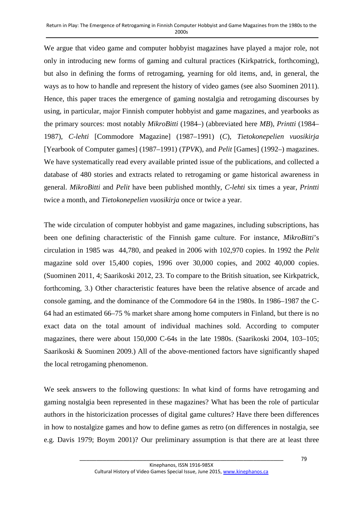We argue that video game and computer hobbyist magazines have played a major role, not only in introducing new forms of gaming and cultural practices (Kirkpatrick, forthcoming), but also in defining the forms of retrogaming, yearning for old items, and, in general, the ways as to how to handle and represent the history of video games (see also Suominen 2011). Hence, this paper traces the emergence of gaming nostalgia and retrogaming discourses by using, in particular, major Finnish computer hobbyist and game magazines, and yearbooks as the primary sources: most notably *MikroBitti* (1984–) (abbreviated here *MB*), *Printti* (1984– 1987), *C-lehti* [Commodore Magazine] (1987–1991) (*C*), *Tietokonepelien vuosikirja* [Yearbook of Computer games] (1987–1991) (*TPVK*), and *Pelit* [Games] (1992–) magazines. We have systematically read every available printed issue of the publications, and collected a database of 480 stories and extracts related to retrogaming or game historical awareness in general. *MikroBitti* and *Pelit* have been published monthly, *C-lehti* six times a year, *Printti* twice a month, and *Tietokonepelien vuosikirja* once or twice a year.

The wide circulation of computer hobbyist and game magazines, including subscriptions, has been one defining characteristic of the Finnish game culture. For instance, *MikroBitti*'s circulation in 1985 was 44,780, and peaked in 2006 with 102,970 copies. In 1992 the *Pelit* magazine sold over 15,400 copies, 1996 over 30,000 copies, and 2002 40,000 copies. (Suominen 2011, 4; Saarikoski 2012, 23. To compare to the British situation, see Kirkpatrick, forthcoming, 3.) Other characteristic features have been the relative absence of arcade and console gaming, and the dominance of the Commodore 64 in the 1980s. In 1986–1987 the C-64 had an estimated 66–75 % market share among home computers in Finland, but there is no exact data on the total amount of individual machines sold. According to computer magazines, there were about 150,000 C-64s in the late 1980s. (Saarikoski 2004, 103–105; Saarikoski & Suominen 2009.) All of the above-mentioned factors have significantly shaped the local retrogaming phenomenon.

We seek answers to the following questions: In what kind of forms have retrogaming and gaming nostalgia been represented in these magazines? What has been the role of particular authors in the historicization processes of digital game cultures? Have there been differences in how to nostalgize games and how to define games as retro (on differences in nostalgia, see e.g. Davis 1979; Boym 2001)? Our preliminary assumption is that there are at least three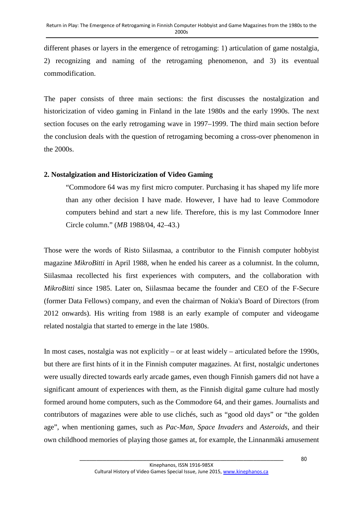different phases or layers in the emergence of retrogaming: 1) articulation of game nostalgia, 2) recognizing and naming of the retrogaming phenomenon, and 3) its eventual commodification.

The paper consists of three main sections: the first discusses the nostalgization and historicization of video gaming in Finland in the late 1980s and the early 1990s. The next section focuses on the early retrogaming wave in 1997–1999. The third main section before the conclusion deals with the question of retrogaming becoming a cross-over phenomenon in the 2000s.

## **2. Nostalgization and Historicization of Video Gaming**

"Commodore 64 was my first micro computer. Purchasing it has shaped my life more than any other decision I have made. However, I have had to leave Commodore computers behind and start a new life. Therefore, this is my last Commodore Inner Circle column." (*MB* 1988/04, 42–43.)

Those were the words of Risto Siilasmaa, a contributor to the Finnish computer hobbyist magazine *MikroBitti* in April 1988, when he ended his career as a columnist. In the column, Siilasmaa recollected his first experiences with computers, and the collaboration with *MikroBitti* since 1985. Later on, Siilasmaa became the founder and CEO of the F-Secure (former Data Fellows) company, and even the chairman of Nokia's Board of Directors (from 2012 onwards). His writing from 1988 is an early example of computer and videogame related nostalgia that started to emerge in the late 1980s.

In most cases, nostalgia was not explicitly – or at least widely – articulated before the 1990s, but there are first hints of it in the Finnish computer magazines. At first, nostalgic undertones were usually directed towards early arcade games, even though Finnish gamers did not have a significant amount of experiences with them, as the Finnish digital game culture had mostly formed around home computers, such as the Commodore 64, and their games. Journalists and contributors of magazines were able to use clichés, such as "good old days" or "the golden age", when mentioning games, such as *Pac-Man*, *Space Invaders* and *Asteroids*, and their own childhood memories of playing those games at, for example, the Linnanmäki amusement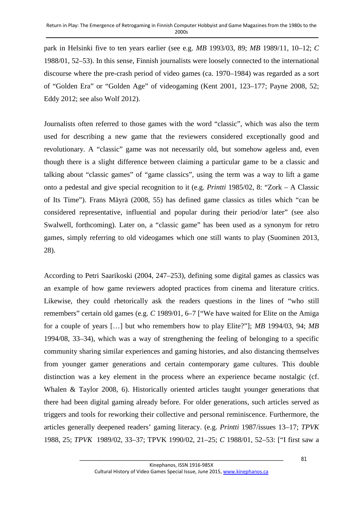park in Helsinki five to ten years earlier (see e.g. *MB* 1993/03, 89; *MB* 1989/11, 10–12; *C*  1988/01, 52–53). In this sense, Finnish journalists were loosely connected to the international discourse where the pre-crash period of video games (ca. 1970–1984) was regarded as a sort of "Golden Era" or "Golden Age" of videogaming (Kent 2001, 123–177; Payne 2008, 52; Eddy 2012; see also Wolf 2012).

Journalists often referred to those games with the word "classic", which was also the term used for describing a new game that the reviewers considered exceptionally good and revolutionary. A "classic" game was not necessarily old, but somehow ageless and, even though there is a slight difference between claiming a particular game to be a classic and talking about "classic games" of "game classics", using the term was a way to lift a game onto a pedestal and give special recognition to it (e.g. *Printti* 1985/02, 8: "Zork – A Classic of Its Time"). Frans Mäyrä (2008, 55) has defined game classics as titles which "can be considered representative, influential and popular during their period/or later" (see also Swalwell, forthcoming). Later on, a "classic game" has been used as a synonym for retro games, simply referring to old videogames which one still wants to play (Suominen 2013, 28).

According to Petri Saarikoski (2004, 247–253), defining some digital games as classics was an example of how game reviewers adopted practices from cinema and literature critics. Likewise, they could rhetorically ask the readers questions in the lines of "who still remembers" certain old games (e.g. *C* 1989/01, 6–7 ["We have waited for Elite on the Amiga for a couple of years […] but who remembers how to play Elite?"]; *MB* 1994/03, 94; *MB* 1994/08, 33–34), which was a way of strengthening the feeling of belonging to a specific community sharing similar experiences and gaming histories, and also distancing themselves from younger gamer generations and certain contemporary game cultures. This double distinction was a key element in the process where an experience became nostalgic (cf. Whalen & Taylor 2008, 6). Historically oriented articles taught younger generations that there had been digital gaming already before. For older generations, such articles served as triggers and tools for reworking their collective and personal reminiscence. Furthermore, the articles generally deepened readers' gaming literacy. (e.g. *Printti* 1987/issues 13–17; *TPVK* 1988, 25; *TPVK* 1989/02, 33–37; TPVK 1990/02, 21–25; *C* 1988/01, 52–53: ["I first saw a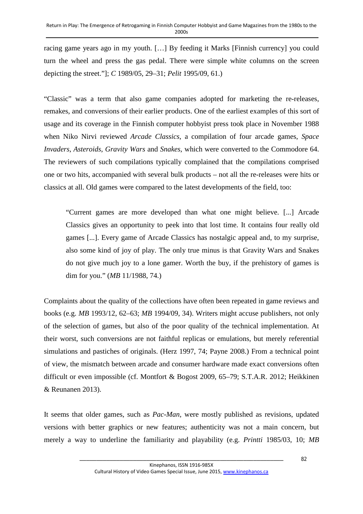racing game years ago in my youth. […] By feeding it Marks [Finnish currency] you could turn the wheel and press the gas pedal. There were simple white columns on the screen depicting the street."]; *C* 1989/05, 29–31; *Pelit* 1995/09, 61.)

"Classic" was a term that also game companies adopted for marketing the re-releases, remakes, and conversions of their earlier products. One of the earliest examples of this sort of usage and its coverage in the Finnish computer hobbyist press took place in November 1988 when Niko Nirvi reviewed *Arcade Classics*, a compilation of four arcade games, *Space Invaders*, *Asteroids*, *Gravity Wars* and *Snakes*, which were converted to the Commodore 64. The reviewers of such compilations typically complained that the compilations comprised one or two hits, accompanied with several bulk products – not all the re-releases were hits or classics at all. Old games were compared to the latest developments of the field, too:

"Current games are more developed than what one might believe. [...] Arcade Classics gives an opportunity to peek into that lost time. It contains four really old games [...]. Every game of Arcade Classics has nostalgic appeal and, to my surprise, also some kind of joy of play. The only true minus is that Gravity Wars and Snakes do not give much joy to a lone gamer. Worth the buy, if the prehistory of games is dim for you." (*MB* 11/1988, 74.)

Complaints about the quality of the collections have often been repeated in game reviews and books (e.g. *MB* 1993/12, 62–63; *MB* 1994/09, 34). Writers might accuse publishers, not only of the selection of games, but also of the poor quality of the technical implementation. At their worst, such conversions are not faithful replicas or emulations, but merely referential simulations and pastiches of originals. (Herz 1997, 74; Payne 2008.) From a technical point of view, the mismatch between arcade and consumer hardware made exact conversions often difficult or even impossible (cf. Montfort & Bogost 2009, 65–79; S.T.A.R. 2012; Heikkinen & Reunanen 2013).

It seems that older games, such as *Pac-Man*, were mostly published as revisions, updated versions with better graphics or new features; authenticity was not a main concern, but merely a way to underline the familiarity and playability (e.g. *Printti* 1985/03, 10; *MB*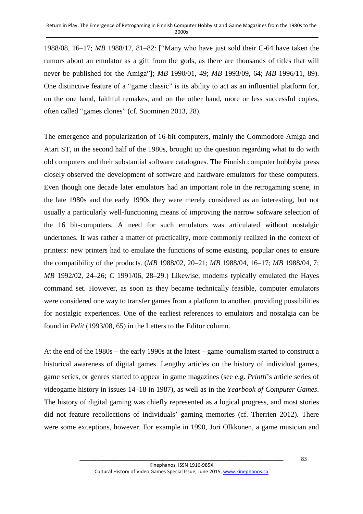1988/08, 16–17; *MB* 1988/12, 81–82: ["Many who have just sold their C-64 have taken the rumors about an emulator as a gift from the gods, as there are thousands of titles that will never be published for the Amiga"]; *MB* 1990/01, 49; *MB* 1993/09, 64; *MB* 1996/11, 89). One distinctive feature of a "game classic" is its ability to act as an influential platform for, on the one hand, faithful remakes, and on the other hand, more or less successful copies, often called "games clones" (cf. Suominen 2013, 28).

The emergence and popularization of 16-bit computers, mainly the Commodore Amiga and Atari ST, in the second half of the 1980s, brought up the question regarding what to do with old computers and their substantial software catalogues. The Finnish computer hobbyist press closely observed the development of software and hardware emulators for these computers. Even though one decade later emulators had an important role in the retrogaming scene, in the late 1980s and the early 1990s they were merely considered as an interesting, but not usually a particularly well-functioning means of improving the narrow software selection of the 16 bit-computers. A need for such emulators was articulated without nostalgic undertones. It was rather a matter of practicality, more commonly realized in the context of printers: new printers had to emulate the functions of some existing, popular ones to ensure the compatibility of the products. (*MB* 1988/02, 20–21; *MB* 1988/04, 16–17; *MB* 1988/04, 7; *MB* 1992/02, 24–26; *C* 1991/06, 28–29.) Likewise, modems typically emulated the Hayes command set. However, as soon as they became technically feasible, computer emulators were considered one way to transfer games from a platform to another, providing possibilities for nostalgic experiences. One of the earliest references to emulators and nostalgia can be found in *Pelit* (1993/08, 65) in the Letters to the Editor column.

At the end of the 1980s – the early 1990s at the latest – game journalism started to construct a historical awareness of digital games. Lengthy articles on the history of individual games, game series, or genres started to appear in game magazines (see e.g. *Printti*'s article series of videogame history in issues 14–18 in 1987), as well as in the *Yearbook of Computer Games*. The history of digital gaming was chiefly represented as a logical progress, and most stories did not feature recollections of individuals' gaming memories (cf. Therrien 2012). There were some exceptions, however. For example in 1990, Jori Olkkonen, a game musician and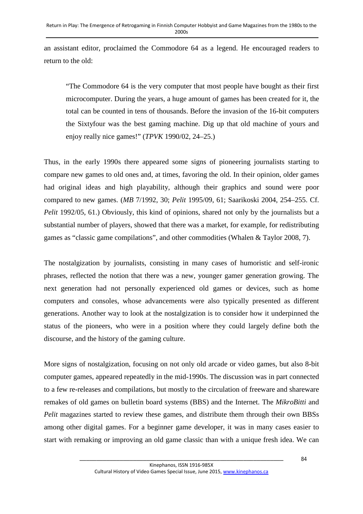an assistant editor, proclaimed the Commodore 64 as a legend. He encouraged readers to return to the old:

"The Commodore 64 is the very computer that most people have bought as their first microcomputer. During the years, a huge amount of games has been created for it, the total can be counted in tens of thousands. Before the invasion of the 16-bit computers the Sixtyfour was the best gaming machine. Dig up that old machine of yours and enjoy really nice games!" (*TPVK* 1990/02, 24–25.)

Thus, in the early 1990s there appeared some signs of pioneering journalists starting to compare new games to old ones and, at times, favoring the old. In their opinion, older games had original ideas and high playability, although their graphics and sound were poor compared to new games. (*MB* 7/1992, 30; *Pelit* 1995/09, 61; Saarikoski 2004, 254–255. Cf. *Pelit* 1992/05, 61.) Obviously, this kind of opinions, shared not only by the journalists but a substantial number of players, showed that there was a market, for example, for redistributing games as "classic game compilations", and other commodities (Whalen & Taylor 2008, 7).

The nostalgization by journalists, consisting in many cases of humoristic and self-ironic phrases, reflected the notion that there was a new, younger gamer generation growing. The next generation had not personally experienced old games or devices, such as home computers and consoles, whose advancements were also typically presented as different generations. Another way to look at the nostalgization is to consider how it underpinned the status of the pioneers, who were in a position where they could largely define both the discourse, and the history of the gaming culture.

More signs of nostalgization, focusing on not only old arcade or video games, but also 8-bit computer games, appeared repeatedly in the mid-1990s. The discussion was in part connected to a few re-releases and compilations, but mostly to the circulation of freeware and shareware remakes of old games on bulletin board systems (BBS) and the Internet. The *MikroBitti* and *Pelit* magazines started to review these games, and distribute them through their own BBSs among other digital games. For a beginner game developer, it was in many cases easier to start with remaking or improving an old game classic than with a unique fresh idea. We can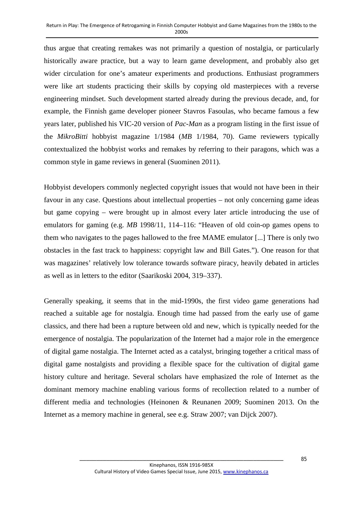thus argue that creating remakes was not primarily a question of nostalgia, or particularly historically aware practice, but a way to learn game development, and probably also get wider circulation for one's amateur experiments and productions. Enthusiast programmers were like art students practicing their skills by copying old masterpieces with a reverse engineering mindset. Such development started already during the previous decade, and, for example, the Finnish game developer pioneer Stavros Fasoulas, who became famous a few years later, published his VIC-20 version of *Pac-Man* as a program listing in the first issue of the *MikroBitti* hobbyist magazine 1/1984 (*MB* 1/1984, 70). Game reviewers typically contextualized the hobbyist works and remakes by referring to their paragons, which was a common style in game reviews in general (Suominen 2011).

Hobbyist developers commonly neglected copyright issues that would not have been in their favour in any case. Questions about intellectual properties – not only concerning game ideas but game copying – were brought up in almost every later article introducing the use of emulators for gaming (e.g. *MB* 1998/11, 114–116: "Heaven of old coin-op games opens to them who navigates to the pages hallowed to the free MAME emulator [...] There is only two obstacles in the fast track to happiness: copyright law and Bill Gates."). One reason for that was magazines' relatively low tolerance towards software piracy, heavily debated in articles as well as in letters to the editor (Saarikoski 2004, 319–337).

Generally speaking, it seems that in the mid-1990s, the first video game generations had reached a suitable age for nostalgia. Enough time had passed from the early use of game classics, and there had been a rupture between old and new, which is typically needed for the emergence of nostalgia. The popularization of the Internet had a major role in the emergence of digital game nostalgia. The Internet acted as a catalyst, bringing together a critical mass of digital game nostalgists and providing a flexible space for the cultivation of digital game history culture and heritage. Several scholars have emphasized the role of Internet as the dominant memory machine enabling various forms of recollection related to a number of different media and technologies (Heinonen & Reunanen 2009; Suominen 2013. On the Internet as a memory machine in general, see e.g. Straw 2007; van Dijck 2007).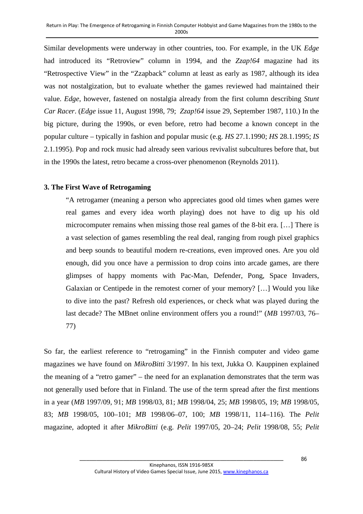Similar developments were underway in other countries, too. For example, in the UK *Edge*  had introduced its "Retroview" column in 1994, and the *Zzap!64* magazine had its "Retrospective View" in the "Zzapback" column at least as early as 1987, although its idea was not nostalgization, but to evaluate whether the games reviewed had maintained their value. *Edge*, however, fastened on nostalgia already from the first column describing *Stunt Car Racer*. (*Edge* issue 11, August 1998, 79; *Zzap!64* issue 29, September 1987, 110.) In the big picture, during the 1990s, or even before, retro had become a known concept in the popular culture – typically in fashion and popular music (e.g. *HS* 27.1.1990; *HS* 28.1.1995; *IS* 2.1.1995). Pop and rock music had already seen various revivalist subcultures before that, but in the 1990s the latest, retro became a cross-over phenomenon (Reynolds 2011).

#### **3. The First Wave of Retrogaming**

"A retrogamer (meaning a person who appreciates good old times when games were real games and every idea worth playing) does not have to dig up his old microcomputer remains when missing those real games of the 8-bit era. […] There is a vast selection of games resembling the real deal, ranging from rough pixel graphics and beep sounds to beautiful modern re-creations, even improved ones. Are you old enough, did you once have a permission to drop coins into arcade games, are there glimpses of happy moments with Pac-Man, Defender, Pong, Space Invaders, Galaxian or Centipede in the remotest corner of your memory? […] Would you like to dive into the past? Refresh old experiences, or check what was played during the last decade? The MBnet online environment offers you a round!" (*MB* 1997/03, 76– 77)

So far, the earliest reference to "retrogaming" in the Finnish computer and video game magazines we have found on *MikroBitti* 3/1997. In his text, Jukka O. Kauppinen explained the meaning of a "retro gamer" – the need for an explanation demonstrates that the term was not generally used before that in Finland. The use of the term spread after the first mentions in a year (*MB* 1997/09, 91; *MB* 1998/03, 81; *MB* 1998/04, 25; *MB* 1998/05, 19; *MB* 1998/05, 83; *MB* 1998/05, 100–101; *MB* 1998/06–07, 100; *MB* 1998/11, 114–116). The *Pelit*  magazine, adopted it after *MikroBitti* (e.g. *Pelit* 1997/05, 20–24; *Pelit* 1998/08, 55; *Pelit*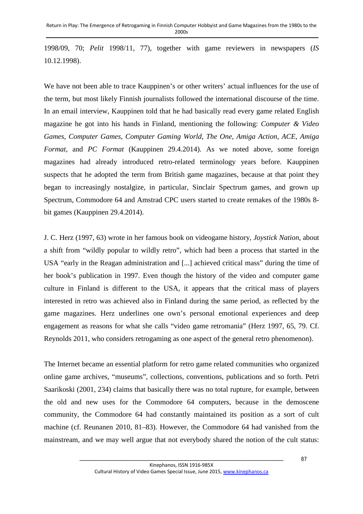1998/09, 70; *Pelit* 1998/11, 77), together with game reviewers in newspapers (*IS* 10.12.1998).

We have not been able to trace Kauppinen's or other writers' actual influences for the use of the term, but most likely Finnish journalists followed the international discourse of the time. In an email interview, Kauppinen told that he had basically read every game related English magazine he got into his hands in Finland, mentioning the following: *Computer & Video Games*, *Computer Games*, *Computer Gaming World*, *The One*, *Amiga Action*, *ACE*, *Amiga Format*, and *PC Format* (Kauppinen 29.4.2014). As we noted above, some foreign magazines had already introduced retro-related terminology years before. Kauppinen suspects that he adopted the term from British game magazines, because at that point they began to increasingly nostalgize, in particular, Sinclair Spectrum games, and grown up Spectrum, Commodore 64 and Amstrad CPC users started to create remakes of the 1980s 8 bit games (Kauppinen 29.4.2014).

J. C. Herz (1997, 63) wrote in her famous book on videogame history, *Joystick Nation*, about a shift from "wildly popular to wildly retro", which had been a process that started in the USA "early in the Reagan administration and [...] achieved critical mass" during the time of her book's publication in 1997. Even though the history of the video and computer game culture in Finland is different to the USA, it appears that the critical mass of players interested in retro was achieved also in Finland during the same period, as reflected by the game magazines. Herz underlines one own's personal emotional experiences and deep engagement as reasons for what she calls "video game retromania" (Herz 1997, 65, 79. Cf. Reynolds 2011, who considers retrogaming as one aspect of the general retro phenomenon).

The Internet became an essential platform for retro game related communities who organized online game archives, "museums", collections, conventions, publications and so forth. Petri Saarikoski (2001, 234) claims that basically there was no total rupture, for example, between the old and new uses for the Commodore 64 computers, because in the demoscene community, the Commodore 64 had constantly maintained its position as a sort of cult machine (cf. Reunanen 2010, 81–83). However, the Commodore 64 had vanished from the mainstream, and we may well argue that not everybody shared the notion of the cult status: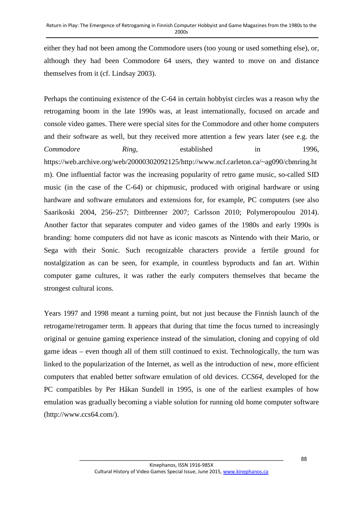either they had not been among the Commodore users (too young or used something else), or, although they had been Commodore 64 users, they wanted to move on and distance themselves from it (cf. Lindsay 2003).

Perhaps the continuing existence of the C-64 in certain hobbyist circles was a reason why the retrogaming boom in the late 1990s was, at least internationally, focused on arcade and console video games. There were special sites for the Commodore and other home computers and their software as well, but they received more attention a few years later (see e.g. the *Commodore Ring*, established in 1996, https://web.archive.org/web/20000302092125/http://www.ncf.carleton.ca/~ag090/cbmring.ht m). One influential factor was the increasing popularity of retro game music, so-called SID music (in the case of the C-64) or chipmusic, produced with original hardware or using hardware and software emulators and extensions for, for example, PC computers (see also Saarikoski 2004, 256–257; Dittbrenner 2007; Carlsson 2010; Polymeropoulou 2014). Another factor that separates computer and video games of the 1980s and early 1990s is branding: home computers did not have as iconic mascots as Nintendo with their Mario, or Sega with their Sonic. Such recognizable characters provide a fertile ground for nostalgization as can be seen, for example, in countless byproducts and fan art. Within computer game cultures, it was rather the early computers themselves that became the strongest cultural icons.

Years 1997 and 1998 meant a turning point, but not just because the Finnish launch of the retrogame/retrogamer term. It appears that during that time the focus turned to increasingly original or genuine gaming experience instead of the simulation, cloning and copying of old game ideas – even though all of them still continued to exist. Technologically, the turn was linked to the popularization of the Internet, as well as the introduction of new, more efficient computers that enabled better software emulation of old devices. *CCS64*, developed for the PC compatibles by Per Håkan Sundell in 1995, is one of the earliest examples of how emulation was gradually becoming a viable solution for running old home computer software (http://www.ccs64.com/).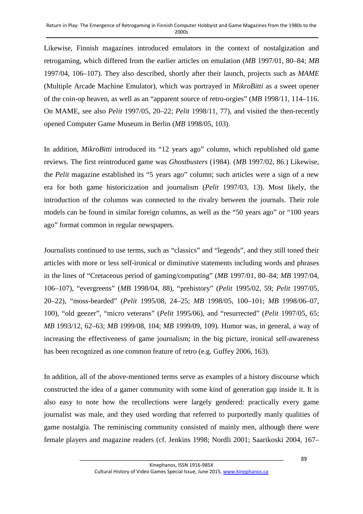Likewise, Finnish magazines introduced emulators in the context of nostalgization and retrogaming, which differed from the earlier articles on emulation (*MB* 1997/01, 80–84; *MB*  1997/04, 106–107). They also described, shortly after their launch, projects such as *MAME* (Multiple Arcade Machine Emulator), which was portrayed in *MikroBitti* as a sweet opener of the coin-op heaven, as well as an "apparent source of retro-orgies" (*MB* 1998/11, 114–116. On MAME, see also *Pelit* 1997/05, 20–22; *Pelit* 1998/11, 77), and visited the then-recently opened Computer Game Museum in Berlin (*MB* 1998/05, 103).

In addition, *MikroBitti* introduced its "12 years ago" column, which republished old game reviews. The first reintroduced game was *Ghostbusters* (1984). (*MB* 1997/02, 86.) Likewise, the *Pelit* magazine established its "5 years ago" column; such articles were a sign of a new era for both game historicization and journalism (*Pelit* 1997/03, 13). Most likely, the introduction of the columns was connected to the rivalry between the journals. Their role models can be found in similar foreign columns, as well as the "50 years ago" or "100 years ago" format common in regular newspapers.

Journalists continued to use terms, such as "classics" and "legends", and they still toned their articles with more or less self-ironical or diminutive statements including words and phrases in the lines of "Cretaceous period of gaming/computing" (*MB* 1997/01, 80–84; *MB* 1997/04, 106–107), "evergreens" (*MB* 1998/04, 88), "prehistory" (*Pelit* 1995/02, 59; *Pelit* 1997/05, 20–22), "moss-bearded" (*Pelit* 1995/08, 24–25; *MB* 1998/05, 100–101; *MB* 1998/06–07, 100), "old geezer", "micro veterans" (*Pelit* 1995/06), and "resurrected" (*Pelit* 1997/05, 65; *MB* 1993/12, 62–63; *MB* 1999/08, 104; *MB* 1999/09, 109). Humor was, in general, a way of increasing the effectiveness of game journalism; in the big picture, ironical self-awareness has been recognized as one common feature of retro (e.g. Guffey 2006, 163).

In addition, all of the above-mentioned terms serve as examples of a history discourse which constructed the idea of a gamer community with some kind of generation gap inside it. It is also easy to note how the recollections were largely gendered: practically every game journalist was male, and they used wording that referred to purportedly manly qualities of game nostalgia. The reminiscing community consisted of mainly men, although there were female players and magazine readers (cf. Jenkins 1998; Nordli 2001; Saarikoski 2004, 167–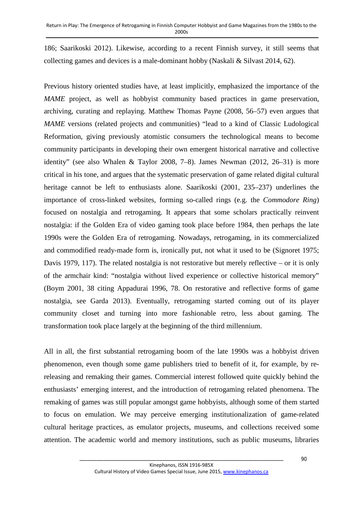186; Saarikoski 2012). Likewise, according to a recent Finnish survey, it still seems that collecting games and devices is a male-dominant hobby (Naskali & Silvast 2014, 62).

Previous history oriented studies have, at least implicitly, emphasized the importance of the *MAME* project, as well as hobbyist community based practices in game preservation, archiving, curating and replaying. Matthew Thomas Payne (2008, 56–57) even argues that *MAME* versions (related projects and communities) "lead to a kind of Classic Ludological Reformation, giving previously atomistic consumers the technological means to become community participants in developing their own emergent historical narrative and collective identity" (see also Whalen & Taylor 2008, 7–8). James Newman (2012, 26–31) is more critical in his tone, and argues that the systematic preservation of game related digital cultural heritage cannot be left to enthusiasts alone. Saarikoski (2001, 235–237) underlines the importance of cross-linked websites, forming so-called rings (e.g. the *Commodore Ring*) focused on nostalgia and retrogaming. It appears that some scholars practically reinvent nostalgia: if the Golden Era of video gaming took place before 1984, then perhaps the late 1990s were the Golden Era of retrogaming. Nowadays, retrogaming, in its commercialized and commodified ready-made form is, ironically put, not what it used to be (Signoret 1975; Davis 1979, 117). The related nostalgia is not restorative but merely reflective – or it is only of the armchair kind: "nostalgia without lived experience or collective historical memory" (Boym 2001, 38 citing Appadurai 1996, 78. On restorative and reflective forms of game nostalgia, see Garda 2013). Eventually, retrogaming started coming out of its player community closet and turning into more fashionable retro, less about gaming. The transformation took place largely at the beginning of the third millennium.

All in all, the first substantial retrogaming boom of the late 1990s was a hobbyist driven phenomenon, even though some game publishers tried to benefit of it, for example, by rereleasing and remaking their games. Commercial interest followed quite quickly behind the enthusiasts' emerging interest, and the introduction of retrogaming related phenomena. The remaking of games was still popular amongst game hobbyists, although some of them started to focus on emulation. We may perceive emerging institutionalization of game-related cultural heritage practices, as emulator projects, museums, and collections received some attention. The academic world and memory institutions, such as public museums, libraries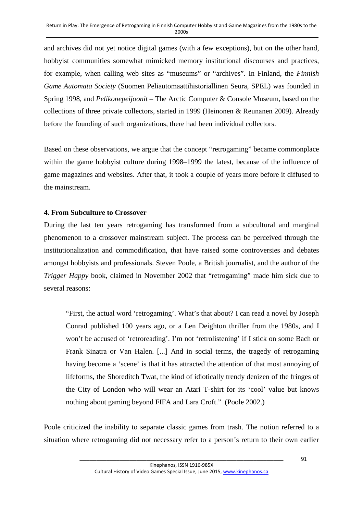and archives did not yet notice digital games (with a few exceptions), but on the other hand, hobbyist communities somewhat mimicked memory institutional discourses and practices, for example, when calling web sites as "museums" or "archives". In Finland, the *Finnish Game Automata Society* (Suomen Peliautomaattihistoriallinen Seura, SPEL) was founded in Spring 1998, and *Pelikonepeijoonit* – The Arctic Computer & Console Museum, based on the collections of three private collectors, started in 1999 (Heinonen & Reunanen 2009). Already before the founding of such organizations, there had been individual collectors.

Based on these observations, we argue that the concept "retrogaming" became commonplace within the game hobbyist culture during 1998–1999 the latest, because of the influence of game magazines and websites. After that, it took a couple of years more before it diffused to the mainstream.

#### **4. From Subculture to Crossover**

During the last ten years retrogaming has transformed from a subcultural and marginal phenomenon to a crossover mainstream subject. The process can be perceived through the institutionalization and commodification, that have raised some controversies and debates amongst hobbyists and professionals. Steven Poole, a British journalist, and the author of the *Trigger Happy* book, claimed in November 2002 that "retrogaming" made him sick due to several reasons:

"First, the actual word 'retrogaming'. What's that about? I can read a novel by Joseph Conrad published 100 years ago, or a Len Deighton thriller from the 1980s, and I won't be accused of 'retroreading'. I'm not 'retrolistening' if I stick on some Bach or Frank Sinatra or Van Halen. [...] And in social terms, the tragedy of retrogaming having become a 'scene' is that it has attracted the attention of that most annoying of lifeforms, the Shoreditch Twat, the kind of idiotically trendy denizen of the fringes of the City of London who will wear an Atari T-shirt for its 'cool' value but knows nothing about gaming beyond FIFA and Lara Croft." (Poole 2002.)

Poole criticized the inability to separate classic games from trash. The notion referred to a situation where retrogaming did not necessary refer to a person's return to their own earlier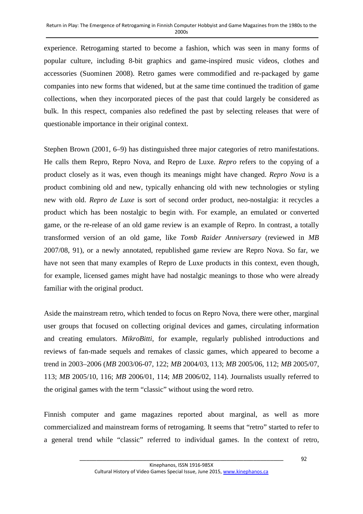experience. Retrogaming started to become a fashion, which was seen in many forms of popular culture, including 8-bit graphics and game-inspired music videos, clothes and accessories (Suominen 2008). Retro games were commodified and re-packaged by game companies into new forms that widened, but at the same time continued the tradition of game collections, when they incorporated pieces of the past that could largely be considered as bulk. In this respect, companies also redefined the past by selecting releases that were of questionable importance in their original context.

Stephen Brown (2001, 6–9) has distinguished three major categories of retro manifestations. He calls them Repro, Repro Nova, and Repro de Luxe. *Repro* refers to the copying of a product closely as it was, even though its meanings might have changed. *Repro Nova* is a product combining old and new, typically enhancing old with new technologies or styling new with old. *Repro de Luxe* is sort of second order product, neo-nostalgia: it recycles a product which has been nostalgic to begin with. For example, an emulated or converted game, or the re-release of an old game review is an example of Repro. In contrast, a totally transformed version of an old game, like *Tomb Raider Anniversary* (reviewed in *MB* 2007/08, 91), or a newly annotated, republished game review are Repro Nova. So far, we have not seen that many examples of Repro de Luxe products in this context, even though, for example, licensed games might have had nostalgic meanings to those who were already familiar with the original product.

Aside the mainstream retro, which tended to focus on Repro Nova, there were other, marginal user groups that focused on collecting original devices and games, circulating information and creating emulators. *MikroBitti*, for example, regularly published introductions and reviews of fan-made sequels and remakes of classic games, which appeared to become a trend in 2003–2006 (*MB* 2003/06-07, 122; *MB* 2004/03, 113; *MB* 2005/06, 112; *MB* 2005/07, 113; *MB* 2005/10, 116; *MB* 2006/01, 114; *MB* 2006/02, 114). Journalists usually referred to the original games with the term "classic" without using the word retro.

Finnish computer and game magazines reported about marginal, as well as more commercialized and mainstream forms of retrogaming. It seems that "retro" started to refer to a general trend while "classic" referred to individual games. In the context of retro,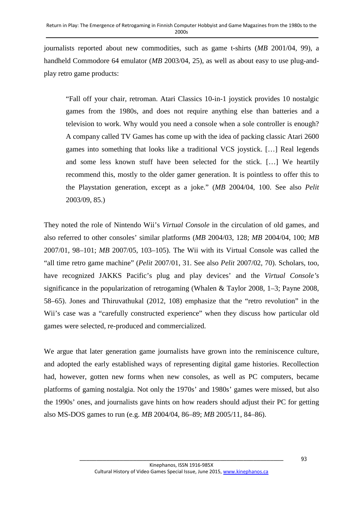journalists reported about new commodities, such as game t-shirts (*MB* 2001/04, 99), a handheld Commodore 64 emulator (*MB* 2003/04, 25), as well as about easy to use plug-andplay retro game products:

"Fall off your chair, retroman. Atari Classics 10-in-1 joystick provides 10 nostalgic games from the 1980s, and does not require anything else than batteries and a television to work. Why would you need a console when a sole controller is enough? A company called TV Games has come up with the idea of packing classic Atari 2600 games into something that looks like a traditional VCS joystick. […] Real legends and some less known stuff have been selected for the stick. […] We heartily recommend this, mostly to the older gamer generation. It is pointless to offer this to the Playstation generation, except as a joke." (*MB* 2004/04, 100. See also *Pelit* 2003/09, 85.)

They noted the role of Nintendo Wii's *Virtual Console* in the circulation of old games, and also referred to other consoles' similar platforms (*MB* 2004/03, 128; *MB* 2004/04, 100; *MB* 2007/01, 98–101; *MB* 2007/05, 103–105). The Wii with its Virtual Console was called the "all time retro game machine" (*Pelit* 2007/01, 31. See also *Pelit* 2007/02, 70). Scholars, too, have recognized JAKKS Pacific's plug and play devices' and the *Virtual Console's* significance in the popularization of retrogaming (Whalen & Taylor 2008, 1–3; Payne 2008, 58–65). Jones and Thiruvathukal (2012, 108) emphasize that the "retro revolution" in the Wii's case was a "carefully constructed experience" when they discuss how particular old games were selected, re-produced and commercialized.

We argue that later generation game journalists have grown into the reminiscence culture, and adopted the early established ways of representing digital game histories. Recollection had, however, gotten new forms when new consoles, as well as PC computers, became platforms of gaming nostalgia. Not only the 1970s' and 1980s' games were missed, but also the 1990s' ones, and journalists gave hints on how readers should adjust their PC for getting also MS-DOS games to run (e.g. *MB* 2004/04, 86–89; *MB* 2005/11, 84–86).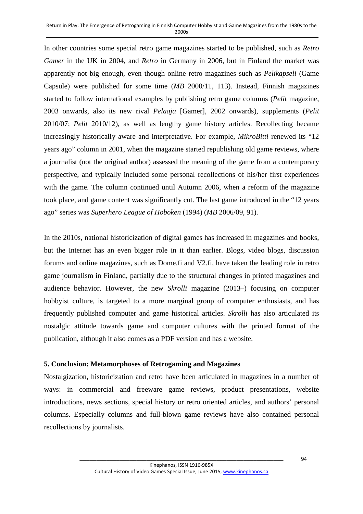In other countries some special retro game magazines started to be published, such as *Retro Gamer* in the UK in 2004, and *Retro* in Germany in 2006, but in Finland the market was apparently not big enough, even though online retro magazines such as *Pelikapseli* (Game Capsule) were published for some time (*MB* 2000/11, 113). Instead, Finnish magazines started to follow international examples by publishing retro game columns (*Pelit* magazine, 2003 onwards, also its new rival *Pelaaja* [Gamer], 2002 onwards), supplements (*Pelit* 2010/07; *Pelit* 2010/12), as well as lengthy game history articles. Recollecting became increasingly historically aware and interpretative. For example, *MikroBitti* renewed its "12 years ago" column in 2001, when the magazine started republishing old game reviews, where a journalist (not the original author) assessed the meaning of the game from a contemporary perspective, and typically included some personal recollections of his/her first experiences with the game. The column continued until Autumn 2006, when a reform of the magazine took place, and game content was significantly cut. The last game introduced in the "12 years ago" series was *Superhero League of Hoboken* (1994) (*MB* 2006/09, 91).

In the 2010s, national historicization of digital games has increased in magazines and books, but the Internet has an even bigger role in it than earlier. Blogs, video blogs, discussion forums and online magazines, such as Dome.fi and V2.fi, have taken the leading role in retro game journalism in Finland, partially due to the structural changes in printed magazines and audience behavior. However, the new *Skrolli* magazine (2013–) focusing on computer hobbyist culture, is targeted to a more marginal group of computer enthusiasts, and has frequently published computer and game historical articles. *Skrolli* has also articulated its nostalgic attitude towards game and computer cultures with the printed format of the publication, although it also comes as a PDF version and has a website.

# **5. Conclusion: Metamorphoses of Retrogaming and Magazines**

Nostalgization, historicization and retro have been articulated in magazines in a number of ways: in commercial and freeware game reviews, product presentations, website introductions, news sections, special history or retro oriented articles, and authors' personal columns. Especially columns and full-blown game reviews have also contained personal recollections by journalists.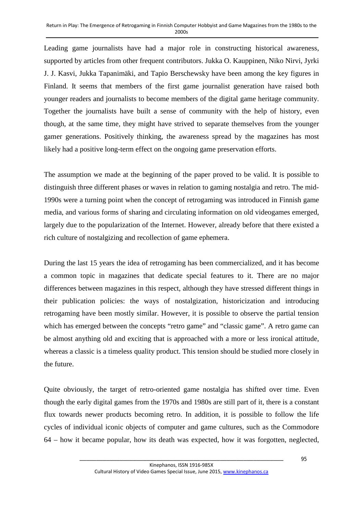Leading game journalists have had a major role in constructing historical awareness, supported by articles from other frequent contributors. Jukka O. Kauppinen, Niko Nirvi, Jyrki J. J. Kasvi, Jukka Tapanimäki, and Tapio Berschewsky have been among the key figures in Finland. It seems that members of the first game journalist generation have raised both younger readers and journalists to become members of the digital game heritage community. Together the journalists have built a sense of community with the help of history, even though, at the same time, they might have strived to separate themselves from the younger gamer generations. Positively thinking, the awareness spread by the magazines has most likely had a positive long-term effect on the ongoing game preservation efforts.

The assumption we made at the beginning of the paper proved to be valid. It is possible to distinguish three different phases or waves in relation to gaming nostalgia and retro. The mid-1990s were a turning point when the concept of retrogaming was introduced in Finnish game media, and various forms of sharing and circulating information on old videogames emerged, largely due to the popularization of the Internet. However, already before that there existed a rich culture of nostalgizing and recollection of game ephemera.

During the last 15 years the idea of retrogaming has been commercialized, and it has become a common topic in magazines that dedicate special features to it. There are no major differences between magazines in this respect, although they have stressed different things in their publication policies: the ways of nostalgization, historicization and introducing retrogaming have been mostly similar. However, it is possible to observe the partial tension which has emerged between the concepts "retro game" and "classic game". A retro game can be almost anything old and exciting that is approached with a more or less ironical attitude, whereas a classic is a timeless quality product. This tension should be studied more closely in the future.

Quite obviously, the target of retro-oriented game nostalgia has shifted over time. Even though the early digital games from the 1970s and 1980s are still part of it, there is a constant flux towards newer products becoming retro. In addition, it is possible to follow the life cycles of individual iconic objects of computer and game cultures, such as the Commodore 64 – how it became popular, how its death was expected, how it was forgotten, neglected,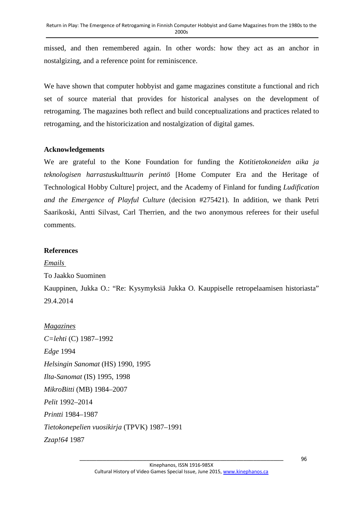missed, and then remembered again. In other words: how they act as an anchor in nostalgizing, and a reference point for reminiscence.

We have shown that computer hobbyist and game magazines constitute a functional and rich set of source material that provides for historical analyses on the development of retrogaming. The magazines both reflect and build conceptualizations and practices related to retrogaming, and the historicization and nostalgization of digital games.

#### **Acknowledgements**

We are grateful to the Kone Foundation for funding the *Kotitietokoneiden aika ja teknologisen harrastuskulttuurin perintö* [Home Computer Era and the Heritage of Technological Hobby Culture] project, and the Academy of Finland for funding *Ludification and the Emergence of Playful Culture* (decision #275421). In addition, we thank Petri Saarikoski, Antti Silvast, Carl Therrien, and the two anonymous referees for their useful comments.

## **References**

*Emails* 

To Jaakko Suominen

Kauppinen, Jukka O.: "Re: Kysymyksiä Jukka O. Kauppiselle retropelaamisen historiasta" 29.4.2014

*Magazines C=lehti* (C) 1987–1992 *Edge* 1994 *Helsingin Sanomat* (HS) 1990, 1995 *Ilta-Sanomat* (IS) 1995, 1998 *MikroBitti* (MB) 1984–2007 *Pelit* 1992–2014 *Printti* 1984–1987 *Tietokonepelien vuosikirja* (TPVK) 1987–1991 *Zzap!64* 1987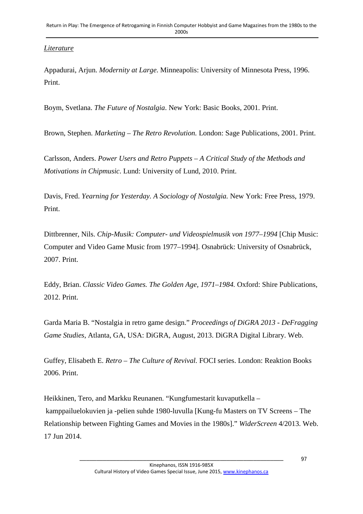# *Literature*

Appadurai, Arjun. *Modernity at Large*. Minneapolis: University of Minnesota Press, 1996. Print.

Boym, Svetlana. *The Future of Nostalgia*. New York: Basic Books, 2001. Print.

Brown, Stephen. *Marketing – The Retro Revolution.* London: Sage Publications, 2001. Print.

Carlsson, Anders. *Power Users and Retro Puppets – A Critical Study of the Methods and Motivations in Chipmusic*. Lund: University of Lund, 2010. Print.

Davis, Fred. *Yearning for Yesterday. A Sociology of Nostalgia.* New York: Free Press, 1979. Print.

Dittbrenner, Nils. *Chip-Musik: Computer- und Videospielmusik von 1977–1994* [Chip Music: Computer and Video Game Music from 1977–1994]. Osnabrück: University of Osnabrück, 2007. Print.

Eddy, Brian. *Classic Video Games. The Golden Age, 1971–1984.* Oxford: Shire Publications, 2012. Print.

Garda Maria B. "Nostalgia in retro game design." *Proceedings of DiGRA 2013 - DeFragging Game Studies*, Atlanta, GA, USA: DiGRA, August, 2013. DiGRA Digital Library. Web.

Guffey, Elisabeth E. *Retro – The Culture of Revival.* FOCI series. London: Reaktion Books 2006. Print.

Heikkinen, Tero, and Markku Reunanen. "Kungfumestarit kuvaputkella – kamppailuelokuvien ja -pelien suhde 1980-luvulla [Kung-fu Masters on TV Screens – The Relationship between Fighting Games and Movies in the 1980s]." *WiderScreen* 4/2013. Web. 17 Jun 2014.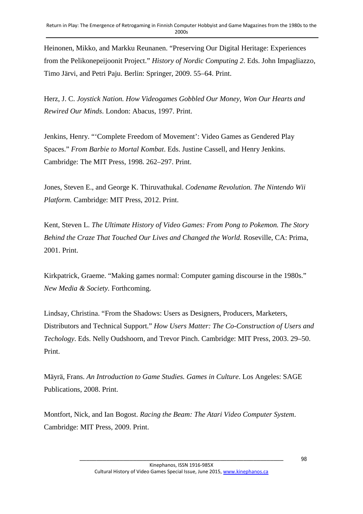Heinonen, Mikko, and Markku Reunanen. "Preserving Our Digital Heritage: Experiences from the Pelikonepeijoonit Project." *History of Nordic Computing 2*. Eds. John Impagliazzo, Timo Järvi, and Petri Paju. Berlin: Springer, 2009. 55–64. Print.

Herz, J. C. *Joystick Nation. How Videogames Gobbled Our Money, Won Our Hearts and Rewired Our Minds*. London: Abacus, 1997. Print.

Jenkins, Henry. "'Complete Freedom of Movement': Video Games as Gendered Play Spaces." *From Barbie to Mortal Kombat*. Eds. Justine Cassell, and Henry Jenkins. Cambridge: The MIT Press, 1998. 262–297. Print.

Jones, Steven E., and George K. Thiruvathukal. *Codename Revolution. The Nintendo Wii Platform.* Cambridge: MIT Press, 2012. Print.

Kent, Steven L. *The Ultimate History of Video Games: From Pong to Pokemon. The Story Behind the Craze That Touched Our Lives and Changed the World.* Roseville, CA: Prima, 2001. Print.

Kirkpatrick, Graeme. "Making games normal: Computer gaming discourse in the 1980s." *New Media & Society.* Forthcoming.

Lindsay, Christina. "From the Shadows: Users as Designers, Producers, Marketers, Distributors and Technical Support." *How Users Matter: The Co-Construction of Users and Techology*. Eds. Nelly Oudshoorn, and Trevor Pinch. Cambridge: MIT Press, 2003. 29–50. Print.

Mäyrä, Frans. *An Introduction to Game Studies. Games in Culture*. Los Angeles: SAGE Publications, 2008. Print.

Montfort, Nick, and Ian Bogost. *Racing the Beam: The Atari Video Computer System*. Cambridge: MIT Press, 2009. Print.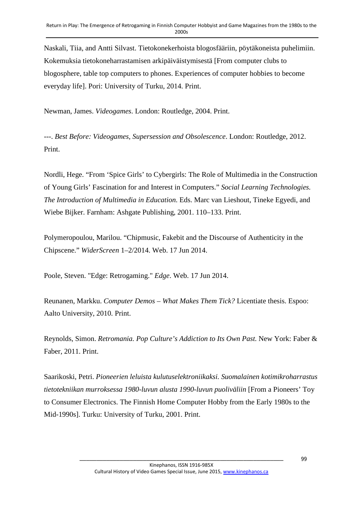Naskali, Tiia, and Antti Silvast. Tietokonekerhoista blogosfääriin, pöytäkoneista puhelimiin. Kokemuksia tietokoneharrastamisen arkipäiväistymisestä [From computer clubs to blogosphere, table top computers to phones. Experiences of computer hobbies to become everyday life]. Pori: University of Turku, 2014. Print.

Newman, James. *Videogames*. London: Routledge, 2004. Print.

---. *Best Before: Videogames, Supersession and Obsolescence*. London: Routledge, 2012. Print.

Nordli, Hege. "From 'Spice Girls' to Cybergirls: The Role of Multimedia in the Construction of Young Girls' Fascination for and Interest in Computers." *Social Learning Technologies. The Introduction of Multimedia in Education*. Eds. Marc van Lieshout, Tineke Egyedi, and Wiebe Bijker. Farnham: Ashgate Publishing, 2001. 110–133. Print.

Polymeropoulou, Marilou. "Chipmusic, Fakebit and the Discourse of Authenticity in the Chipscene." *WiderScreen* 1–2/2014. Web. 17 Jun 2014.

Poole, Steven. "Edge: Retrogaming." *Edge*. Web. 17 Jun 2014.

Reunanen, Markku. *Computer Demos – What Makes Them Tick?* Licentiate thesis. Espoo: Aalto University, 2010. Print.

Reynolds, Simon. *Retromania. Pop Culture's Addiction to Its Own Past.* New York: Faber & Faber, 2011. Print.

Saarikoski, Petri. *Pioneerien leluista kulutuselektroniikaksi. Suomalainen kotimikroharrastus tietotekniikan murroksessa 1980-luvun alusta 1990-luvun puoliväliin* [From a Pioneers' Toy to Consumer Electronics. The Finnish Home Computer Hobby from the Early 1980s to the Mid-1990s]. Turku: University of Turku, 2001. Print.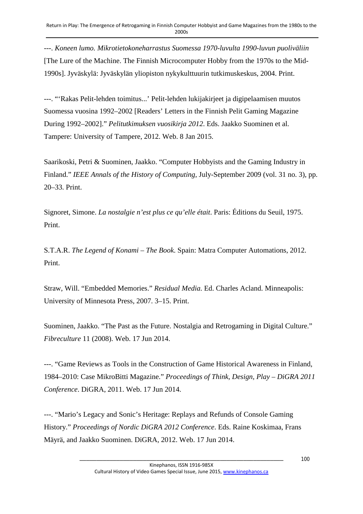---. *Koneen lumo. Mikrotietokoneharrastus Suomessa 1970-luvulta 1990-luvun puoliväliin* [The Lure of the Machine. The Finnish Microcomputer Hobby from the 1970s to the Mid-1990s]. Jyväskylä: Jyväskylän yliopiston nykykulttuurin tutkimuskeskus, 2004. Print.

---. "'Rakas Pelit-lehden toimitus...' Pelit-lehden lukijakirjeet ja digipelaamisen muutos Suomessa vuosina 1992–2002 [Readers' Letters in the Finnish Pelit Gaming Magazine During 1992–2002]." *Pelitutkimuksen vuosikirja 2012*. Eds. Jaakko Suominen et al. Tampere: University of Tampere, 2012. Web. 8 Jan 2015.

Saarikoski, Petri & Suominen, Jaakko. "Computer Hobbyists and the Gaming Industry in Finland." *IEEE Annals of the History of Computing,* July-September 2009 (vol. 31 no. 3), pp. 20–33. Print.

Signoret, Simone. *La nostalgie n'est plus ce qu'elle était*. Paris: Éditions du Seuil, 1975. Print.

S.T.A.R. *The Legend of Konami – The Book*. Spain: Matra Computer Automations, 2012. Print.

Straw, Will. "Embedded Memories." *Residual Media.* Ed. Charles Acland. Minneapolis: University of Minnesota Press, 2007. 3–15. Print.

Suominen, Jaakko. "The Past as the Future. Nostalgia and Retrogaming in Digital Culture." *Fibreculture* 11 (2008). Web. 17 Jun 2014.

---. "Game Reviews as Tools in the Construction of Game Historical Awareness in Finland, 1984–2010: Case MikroBitti Magazine." *Proceedings of Think, Design, Play – DiGRA 2011 Conference*. DiGRA, 2011. Web. 17 Jun 2014.

---. "Mario's Legacy and Sonic's Heritage: Replays and Refunds of Console Gaming History." *Proceedings of Nordic DiGRA 2012 Conference*. Eds. Raine Koskimaa, Frans Mäyrä, and Jaakko Suominen. DiGRA, 2012. Web. 17 Jun 2014.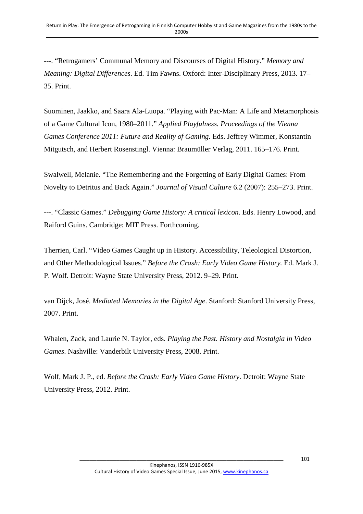---. "Retrogamers' Communal Memory and Discourses of Digital History." *Memory and Meaning: Digital Differences*. Ed. Tim Fawns. Oxford: Inter-Disciplinary Press, 2013. 17– 35. Print.

Suominen, Jaakko, and Saara Ala-Luopa. "Playing with Pac-Man: A Life and Metamorphosis of a Game Cultural Icon, 1980–2011." *Applied Playfulness. Proceedings of the Vienna Games Conference 2011: Future and Reality of Gaming*. Eds. Jeffrey Wimmer, Konstantin Mitgutsch, and Herbert Rosenstingl. Vienna: Braumüller Verlag, 2011. 165–176. Print.

Swalwell, Melanie. "The Remembering and the Forgetting of Early Digital Games: From Novelty to Detritus and Back Again." *Journal of Visual Culture* 6.2 (2007): 255–273. Print.

---. "Classic Games." *Debugging Game History: A critical lexicon.* Eds. Henry Lowood, and Raiford Guins. Cambridge: MIT Press. Forthcoming.

Therrien, Carl. "Video Games Caught up in History. Accessibility, Teleological Distortion, and Other Methodological Issues." *Before the Crash: Early Video Game History.* Ed. Mark J. P. Wolf. Detroit: Wayne State University Press, 2012. 9–29. Print.

van Dijck, José. *Mediated Memories in the Digital Age*. Stanford: Stanford University Press, 2007. Print.

Whalen, Zack, and Laurie N. Taylor, eds. *Playing the Past. History and Nostalgia in Video Games*. Nashville: Vanderbilt University Press, 2008. Print.

Wolf, Mark J. P., ed. *Before the Crash: Early Video Game History*. Detroit: Wayne State University Press, 2012. Print.